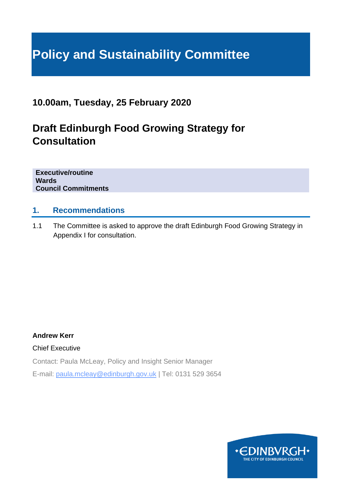# **Policy and Sustainability Committee**

# **10.00am, Tuesday, 25 February 2020**

# **Draft Edinburgh Food Growing Strategy for Consultation**

**Executive/routine Wards Council Commitments**

#### **1. Recommendations**

1.1 The Committee is asked to approve the draft Edinburgh Food Growing Strategy in Appendix I for consultation.

#### **Andrew Kerr**

Chief Executive

Contact: Paula McLeay, Policy and Insight Senior Manager

E-mail: paula.mcleay@edinburgh.gov.uk | Tel: 0131 529 3654

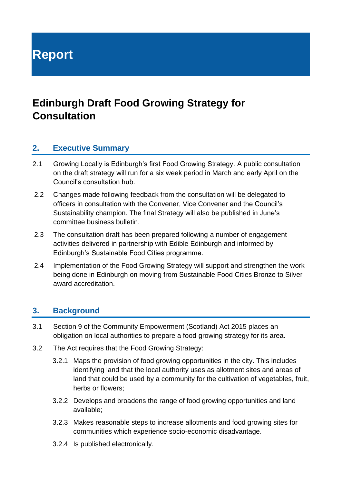**Report**

# **Edinburgh Draft Food Growing Strategy for Consultation**

#### **2. Executive Summary**

- 2.1 Growing Locally is Edinburgh's first Food Growing Strategy. A public consultation on the draft strategy will run for a six week period in March and early April on the Council's consultation hub.
- 2.2 Changes made following feedback from the consultation will be delegated to officers in consultation with the Convener, Vice Convener and the Council's Sustainability champion. The final Strategy will also be published in June's committee business bulletin.
- 2.3 The consultation draft has been prepared following a number of engagement activities delivered in partnership with Edible Edinburgh and informed by Edinburgh's Sustainable Food Cities programme.
- 2.4 Implementation of the Food Growing Strategy will support and strengthen the work being done in Edinburgh on moving from Sustainable Food Cities Bronze to Silver award accreditation.

#### **3. Background**

- 3.1 Section 9 of the Community Empowerment (Scotland) Act 2015 places an obligation on local authorities to prepare a food growing strategy for its area.
- 3.2 The Act requires that the Food Growing Strategy:
	- 3.2.1 Maps the provision of food growing opportunities in the city. This includes identifying land that the local authority uses as allotment sites and areas of land that could be used by a community for the cultivation of vegetables, fruit, herbs or flowers;
	- 3.2.2 Develops and broadens the range of food growing opportunities and land available;
	- 3.2.3 Makes reasonable steps to increase allotments and food growing sites for communities which experience socio-economic disadvantage.
	- 3.2.4 Is published electronically.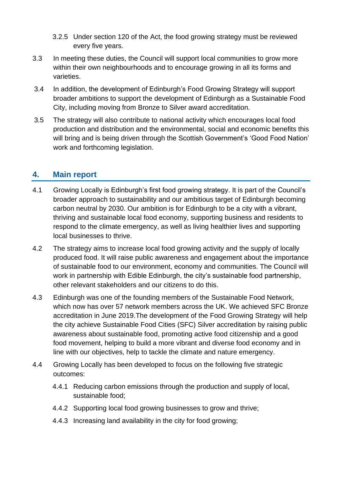- 3.2.5 Under section 120 of the Act, the food growing strategy must be reviewed every five years.
- 3.3 In meeting these duties, the Council will support local communities to grow more within their own neighbourhoods and to encourage growing in all its forms and varieties.
- 3.4 In addition, the development of Edinburgh's Food Growing Strategy will support broader ambitions to support the development of Edinburgh as a Sustainable Food City, including moving from Bronze to Silver award accreditation.
- 3.5 The strategy will also contribute to national activity which encourages local food production and distribution and the environmental, social and economic benefits this will bring and is being driven through the Scottish Government's 'Good Food Nation' work and forthcoming legislation.

# **4. Main report**

- 4.1 Growing Locally is Edinburgh's first food growing strategy. It is part of the Council's broader approach to sustainability and our ambitious target of Edinburgh becoming carbon neutral by 2030. Our ambition is for Edinburgh to be a city with a vibrant, thriving and sustainable local food economy, supporting business and residents to respond to the climate emergency, as well as living healthier lives and supporting local businesses to thrive.
- 4.2 The strategy aims to increase local food growing activity and the supply of locally produced food. It will raise public awareness and engagement about the importance of sustainable food to our environment, economy and communities. The Council will work in partnership with Edible Edinburgh, the city's sustainable food partnership, other relevant stakeholders and our citizens to do this.
- 4.3 Edinburgh was one of the founding members of the Sustainable Food Network, which now has over 57 network members across the UK. We achieved SFC Bronze accreditation in June 2019.The development of the Food Growing Strategy will help the city achieve Sustainable Food Cities (SFC) Silver accreditation by raising public awareness about sustainable food, promoting active food citizenship and a good food movement, helping to build a more vibrant and diverse food economy and in line with our objectives, help to tackle the climate and nature emergency.
- 4.4 Growing Locally has been developed to focus on the following five strategic outcomes:
	- 4.4.1 Reducing carbon emissions through the production and supply of local, sustainable food;
	- 4.4.2 Supporting local food growing businesses to grow and thrive;
	- 4.4.3 Increasing land availability in the city for food growing;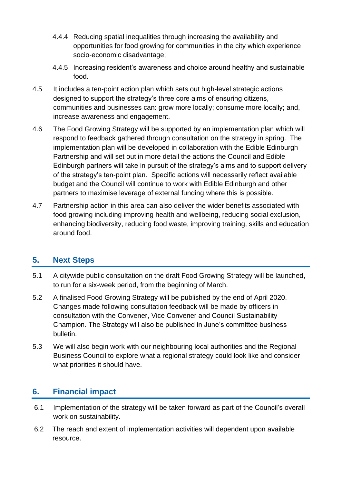- 4.4.4 Reducing spatial inequalities through increasing the availability and opportunities for food growing for communities in the city which experience socio-economic disadvantage;
- 4.4.5 Increasing resident's awareness and choice around healthy and sustainable food.
- 4.5 It includes a ten-point action plan which sets out high-level strategic actions designed to support the strategy's three core aims of ensuring citizens, communities and businesses can: grow more locally; consume more locally; and, increase awareness and engagement.
- 4.6 The Food Growing Strategy will be supported by an implementation plan which will respond to feedback gathered through consultation on the strategy in spring. The implementation plan will be developed in collaboration with the Edible Edinburgh Partnership and will set out in more detail the actions the Council and Edible Edinburgh partners will take in pursuit of the strategy's aims and to support delivery of the strategy's ten-point plan. Specific actions will necessarily reflect available budget and the Council will continue to work with Edible Edinburgh and other partners to maximise leverage of external funding where this is possible.
- 4.7 Partnership action in this area can also deliver the wider benefits associated with food growing including improving health and wellbeing, reducing social exclusion, enhancing biodiversity, reducing food waste, improving training, skills and education around food.

# **5. Next Steps**

- 5.1 A citywide public consultation on the draft Food Growing Strategy will be launched, to run for a six-week period, from the beginning of March.
- 5.2 A finalised Food Growing Strategy will be published by the end of April 2020. Changes made following consultation feedback will be made by officers in consultation with the Convener, Vice Convener and Council Sustainability Champion. The Strategy will also be published in June's committee business bulletin.
- 5.3 We will also begin work with our neighbouring local authorities and the Regional Business Council to explore what a regional strategy could look like and consider what priorities it should have.

# **6. Financial impact**

- 6.1 Implementation of the strategy will be taken forward as part of the Council's overall work on sustainability.
- 6.2 The reach and extent of implementation activities will dependent upon available resource.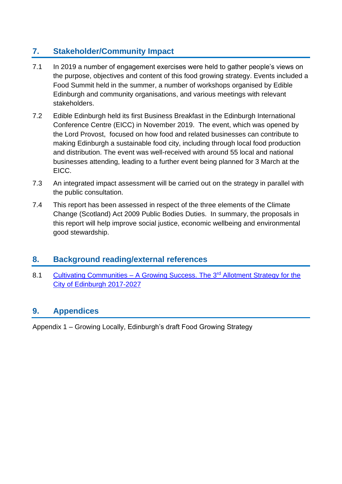# **7. Stakeholder/Community Impact**

- 7.1 In 2019 a number of engagement exercises were held to gather people's views on the purpose, objectives and content of this food growing strategy. Events included a Food Summit held in the summer, a number of workshops organised by Edible Edinburgh and community organisations, and various meetings with relevant stakeholders.
- 7.2 Edible Edinburgh held its first Business Breakfast in the Edinburgh International Conference Centre (EICC) in November 2019. The event, which was opened by the Lord Provost, focused on how food and related businesses can contribute to making Edinburgh a sustainable food city, including through local food production and distribution. The event was well-received with around 55 local and national businesses attending, leading to a further event being planned for 3 March at the EICC.
- 7.3 An integrated impact assessment will be carried out on the strategy in parallel with the public consultation.
- 7.4 This report has been assessed in respect of the three elements of the Climate Change (Scotland) Act 2009 Public Bodies Duties. In summary, the proposals in this report will help improve social justice, economic wellbeing and environmental good stewardship.

# **8. Background reading/external references**

8.1 Cultivating Communities – [A Growing Success. The 3](https://www.edinburgh.gov.uk/downloads/file/22646/allotment-strategy-2017-2027)<sup>rd</sup> Allotment Strategy for the [City of Edinburgh 2017-2027](https://www.edinburgh.gov.uk/downloads/file/22646/allotment-strategy-2017-2027)

# **9. Appendices**

Appendix 1 – Growing Locally, Edinburgh's draft Food Growing Strategy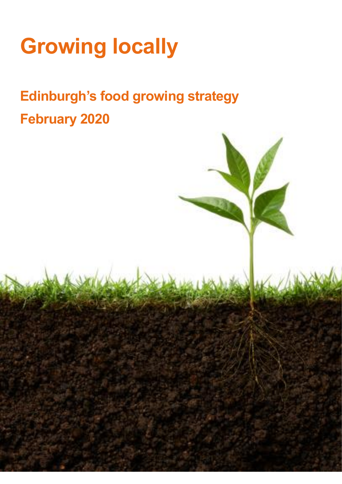# **Growing locally**

# **Edinburgh's food growing strategy February 2020**

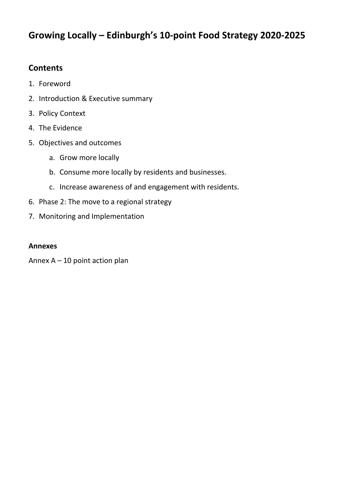# **Growing Locally – Edinburgh's 10-point Food Strategy 2020-2025**

# **Contents**

- 1. Foreword
- 2. Introduction & Executive summary
- 3. Policy Context
- 4. The Evidence
- 5. Objectives and outcomes
	- a. Grow more locally
	- b. Consume more locally by residents and businesses.
	- c. Increase awareness of and engagement with residents.
- 6. Phase 2: The move to a regional strategy
- 7. Monitoring and Implementation

#### **Annexes**

Annex A – 10 point action plan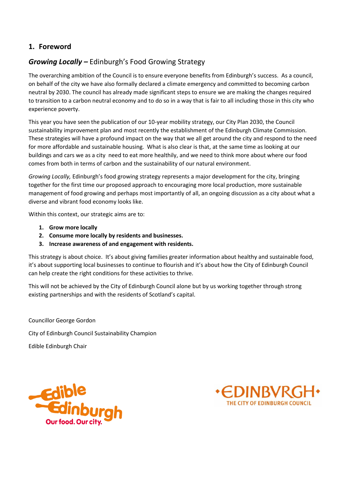#### **1. Foreword**

# *Growing Locally –* Edinburgh's Food Growing Strategy

The overarching ambition of the Council is to ensure everyone benefits from Edinburgh's success. As a council, on behalf of the city we have also formally declared a climate emergency and committed to becoming carbon neutral by 2030. The council has already made significant steps to ensure we are making the changes required to transition to a carbon neutral economy and to do so in a way that is fair to all including those in this city who experience poverty.

This year you have seen the publication of our 10-year mobility strategy, our City Plan 2030, the Council sustainability improvement plan and most recently the establishment of the Edinburgh Climate Commission. These strategies will have a profound impact on the way that we all get around the city and respond to the need for more affordable and sustainable housing. What is also clear is that, at the same time as looking at our buildings and cars we as a city need to eat more healthily, and we need to think more about where our food comes from both in terms of carbon and the sustainability of our natural environment.

*Growing Locally,* Edinburgh's food growing strategy represents a major development for the city, bringing together for the first time our proposed approach to encouraging more local production, more sustainable management of food growing and perhaps most importantly of all, an ongoing discussion as a city about what a diverse and vibrant food economy looks like.

Within this context, our strategic aims are to:

- **1. Grow more locally**
- **2. Consume more locally by residents and businesses.**
- **3. Increase awareness of and engagement with residents.**

This strategy is about choice. It's about giving families greater information about healthy and sustainable food, it's about supporting local businesses to continue to flourish and it's about how the City of Edinburgh Council can help create the right conditions for these activities to thrive.

This will not be achieved by the City of Edinburgh Council alone but by us working together through strong existing partnerships and with the residents of Scotland's capital.

Councillor George Gordon City of Edinburgh Council Sustainability Champion Edible Edinburgh Chair



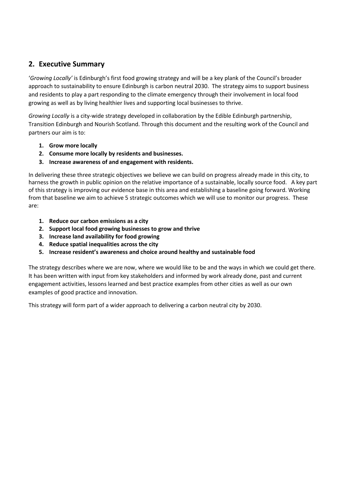#### **2. Executive Summary**

'*Growing Locally'* is Edinburgh's first food growing strategy and will be a key plank of the Council's broader approach to sustainability to ensure Edinburgh is carbon neutral 2030. The strategy aims to support business and residents to play a part responding to the climate emergency through their involvement in local food growing as well as by living healthier lives and supporting local businesses to thrive.

*Growing Locally* is a city-wide strategy developed in collaboration by the Edible Edinburgh partnership, Transition Edinburgh and Nourish Scotland. Through this document and the resulting work of the Council and partners our aim is to:

- **1. Grow more locally**
- **2. Consume more locally by residents and businesses.**
- **3. Increase awareness of and engagement with residents.**

In delivering these three strategic objectives we believe we can build on progress already made in this city, to harness the growth in public opinion on the relative importance of a sustainable, locally source food. A key part of this strategy is improving our evidence base in this area and establishing a baseline going forward. Working from that baseline we aim to achieve 5 strategic outcomes which we will use to monitor our progress. These are:

- **1. Reduce our carbon emissions as a city**
- **2. Support local food growing businesses to grow and thrive**
- **3. Increase land availability for food growing**
- **4. Reduce spatial inequalities across the city**
- **5. Increase resident's awareness and choice around healthy and sustainable food**

The strategy describes where we are now, where we would like to be and the ways in which we could get there. It has been written with input from key stakeholders and informed by work already done, past and current engagement activities, lessons learned and best practice examples from other cities as well as our own examples of good practice and innovation.

This strategy will form part of a wider approach to delivering a carbon neutral city by 2030.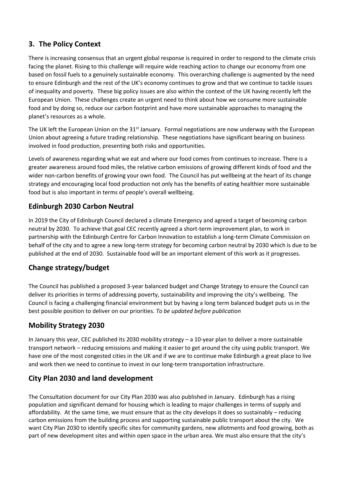### **3. The Policy Context**

There is increasing consensus that an urgent global response is required in order to respond to the climate crisis facing the planet. Rising to this challenge will require wide reaching action to change our economy from one based on fossil fuels to a genuinely sustainable economy. This overarching challenge is augmented by the need to ensure Edinburgh and the rest of the UK's economy continues to grow and that we continue to tackle issues of inequality and poverty. These big policy issues are also within the context of the UK having recently left the European Union. These challenges create an urgent need to think about how we consume more sustainable food and by doing so, reduce our carbon footprint and have more sustainable approaches to managing the planet's resources as a whole.

The UK left the European Union on the 31<sup>st</sup> January. Formal negotiations are now underway with the European Union about agreeing a future trading relationship. These negotiations have significant bearing on business involved in food production, presenting both risks and opportunities.

Levels of awareness regarding what we eat and where our food comes from continues to increase. There is a greater awareness around food miles, the relative carbon emissions of growing different kinds of food and the wider non-carbon benefits of growing your own food. The Council has put wellbeing at the heart of its change strategy and encouraging local food production not only has the benefits of eating healthier more sustainable food but is also important in terms of people's overall wellbeing.

#### **Edinburgh 2030 Carbon Neutral**

In 2019 the City of Edinburgh Council declared a climate Emergency and agreed a target of becoming carbon neutral by 2030. To achieve that goal CEC recently agreed a short-term improvement plan, to work in partnership with the Edinburgh Centre for Carbon Innovation to establish a long-term Climate Commission on behalf of the city and to agree a new long-term strategy for becoming carbon neutral by 2030 which is due to be published at the end of 2030. Sustainable food will be an important element of this work as it progresses.

#### **Change strategy/budget**

The Council has published a proposed 3-year balanced budget and Change Strategy to ensure the Council can deliver its priorities in terms of addressing poverty, sustainability and improving the city's wellbeing. The Council is facing a challenging financial environment but by having a long term balanced budget puts us in the best possible position to deliver on our priorities. *To be updated before publication* 

#### **Mobility Strategy 2030**

In January this year, CEC published its 2030 mobility strategy – a 10-year plan to deliver a more sustainable transport network – reducing emissions and making it easier to get around the city using public transport. We have one of the most congested cities in the UK and if we are to continue make Edinburgh a great place to live and work then we need to continue to invest in our long-term transportation infrastructure.

# **City Plan 2030 and land development**

The Consultation document for our City Plan 2030 was also published in January. Edinburgh has a rising population and significant demand for housing which is leading to major challenges in terms of supply and affordability. At the same time, we must ensure that as the city develops it does so sustainably – reducing carbon emissions from the building process and supporting sustainable public transport about the city. We want City Plan 2030 to identify specific sites for community gardens, new allotments and food growing, both as part of new development sites and within open space in the urban area. We must also ensure that the city's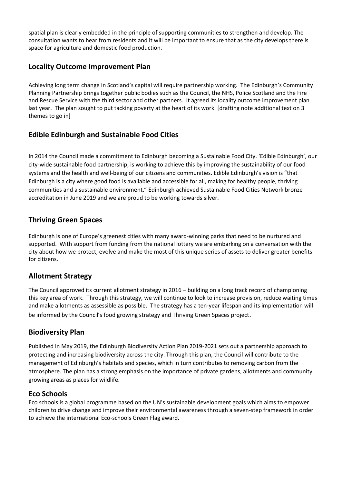spatial plan is clearly embedded in the principle of supporting communities to strengthen and develop. The consultation wants to hear from residents and it will be important to ensure that as the city develops there is space for agriculture and domestic food production.

#### **Locality Outcome Improvement Plan**

Achieving long term change in Scotland's capital will require partnership working. The Edinburgh's Community Planning Partnership brings together public bodies such as the Council, the NHS, Police Scotland and the Fire and Rescue Service with the third sector and other partners. It agreed its locality outcome improvement plan last year. The plan sought to put tacking poverty at the heart of its work. [drafting note additional text on 3 themes to go in]

#### **Edible Edinburgh and Sustainable Food Cities**

In 2014 the Council made a commitment to Edinburgh becoming a Sustainable Food City. 'Edible Edinburgh', our city-wide sustainable food partnership, is working to achieve this by improving the sustainability of our food systems and the health and well-being of our citizens and communities. Edible Edinburgh's vision is "that Edinburgh is a city where good food is available and accessible for all, making for healthy people, thriving communities and a sustainable environment." Edinburgh achieved Sustainable Food Cities Network bronze accreditation in June 2019 and we are proud to be working towards silver.

#### **Thriving Green Spaces**

Edinburgh is one of Europe's greenest cities with many award-winning parks that need to be nurtured and supported. With support from funding from the national lottery we are embarking on a conversation with the city about how we protect, evolve and make the most of this unique series of assets to deliver greater benefits for citizens.

#### **Allotment Strategy**

The Council approved its current allotment strategy in 2016 – building on a long track record of championing this key area of work. Through this strategy, we will continue to look to increase provision, reduce waiting times and make allotments as assessible as possible. The strategy has a ten-year lifespan and its implementation will be informed by the Council's food growing strategy and Thriving Green Spaces project.

#### **Biodiversity Plan**

Published in May 2019, the Edinburgh Biodiversity Action Plan 2019-2021 sets out a partnership approach to protecting and increasing biodiversity across the city. Through this plan, the Council will contribute to the management of Edinburgh's habitats and species, which in turn contributes to removing carbon from the atmosphere. The plan has a strong emphasis on the importance of private gardens, allotments and community growing areas as places for wildlife.

#### **Eco Schools**

Eco schools is a global programme based on the UN's sustainable development goals which aims to empower children to drive change and improve their environmental awareness through a seven-step framework in order to achieve the international Eco-schools Green Flag award.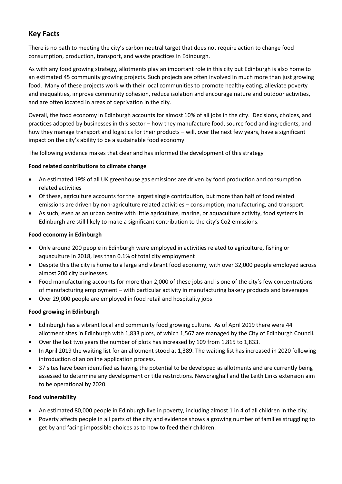#### **Key Facts**

There is no path to meeting the city's carbon neutral target that does not require action to change food consumption, production, transport, and waste practices in Edinburgh.

As with any food growing strategy, allotments play an important role in this city but Edinburgh is also home to an estimated 45 community growing projects. Such projects are often involved in much more than just growing food. Many of these projects work with their local communities to promote healthy eating, alleviate poverty and inequalities, improve community cohesion, reduce isolation and encourage nature and outdoor activities, and are often located in areas of deprivation in the city.

Overall, the food economy in Edinburgh accounts for almost 10% of all jobs in the city. Decisions, choices, and practices adopted by businesses in this sector – how they manufacture food, source food and ingredients, and how they manage transport and logistics for their products – will, over the next few years, have a significant impact on the city's ability to be a sustainable food economy.

The following evidence makes that clear and has informed the development of this strategy

#### **Food related contributions to climate change**

- An estimated 19% of all UK greenhouse gas emissions are driven by food production and consumption related activities
- Of these, agriculture accounts for the largest single contribution, but more than half of food related emissions are driven by non-agriculture related activities – consumption, manufacturing, and transport.
- As such, even as an urban centre with little agriculture, marine, or aquaculture activity, food systems in Edinburgh are still likely to make a significant contribution to the city's Co2 emissions.

#### **Food economy in Edinburgh**

- Only around 200 people in Edinburgh were employed in activities related to agriculture, fishing or aquaculture in 2018, less than 0.1% of total city employment
- Despite this the city is home to a large and vibrant food economy, with over 32,000 people employed across almost 200 city businesses.
- Food manufacturing accounts for more than 2,000 of these jobs and is one of the city's few concentrations of manufacturing employment – with particular activity in manufacturing bakery products and beverages
- Over 29,000 people are employed in food retail and hospitality jobs

#### **Food growing in Edinburgh**

- Edinburgh has a vibrant local and community food growing culture. As of April 2019 there were 44 allotment sites in Edinburgh with 1,833 plots, of which 1,567 are managed by the City of Edinburgh Council.
- Over the last two years the number of plots has increased by 109 from 1,815 to 1,833.
- In April 2019 the waiting list for an allotment stood at 1,389. The waiting list has increased in 2020 following introduction of an online application process.
- 37 sites have been identified as having the potential to be developed as allotments and are currently being assessed to determine any development or title restrictions. Newcraighall and the Leith Links extension aim to be operational by 2020.

#### **Food vulnerability**

- An estimated 80,000 people in Edinburgh live in poverty, including almost 1 in 4 of all children in the city.
- Poverty affects people in all parts of the city and evidence shows a growing number of families struggling to get by and facing impossible choices as to how to feed their children.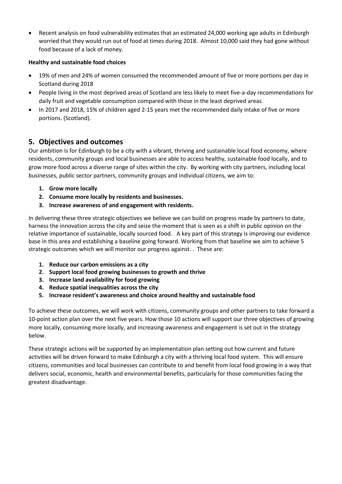• Recent analysis on food vulnerability estimates that an estimated 24,000 working age adults in Edinburgh worried that they would run out of food at times during 2018. Almost 10,000 said they had gone without food because of a lack of money.

#### **Healthy and sustainable food choices**

- 19% of men and 24% of women consumed the recommended amount of five or more portions per day in Scotland during 2018
- People living in the most deprived areas of Scotland are less likely to meet five-a-day recommendations for daily fruit and vegetable consumption compared with those in the least deprived areas.
- In 2017 and 2018, 15% of children aged 2-15 years met the recommended daily intake of five or more portions. (Scotland).

#### **5. Objectives and outcomes**

Our ambition is for Edinburgh to be a city with a vibrant, thriving and sustainable local food economy, where residents, community groups and local businesses are able to access healthy, sustainable food locally, and to grow more food across a diverse range of sites within the city. By working with city partners, including local businesses, public sector partners, community groups and individual citizens, we aim to:

- **1. Grow more locally**
- **2. Consume more locally by residents and businesses.**
- **3. Increase awareness of and engagement with residents.**

In delivering these three strategic objectives we believe we can build on progress made by partners to date, harness the innovation across the city and seize the moment that is seen as a shift in public opinion on the relative importance of sustainable, locally sourced food. A key part of this strategy is improving our evidence base in this area and establishing a baseline going forward. Working from that baseline we aim to achieve 5 strategic outcomes which we will monitor our progress against. . These are:

- **1. Reduce our carbon emissions as a city**
- **2. Support local food growing businesses to growth and thrive**
- **3. Increase land availability for food growing**
- **4. Reduce spatial inequalities across the city**
- **5. Increase resident's awareness and choice around healthy and sustainable food**

To achieve these outcomes, we will work with citizens, community groups and other partners to take forward a 10-point action plan over the next five years. How those 10 actions will support our three objectives of growing more locally, consuming more locally, and increasing awareness and engagement is set out in the strategy below.

These strategic actions will be supported by an implementation plan setting out how current and future activities will be driven forward to make Edinburgh a city with a thriving local food system. This will ensure citizens, communities and local businesses can contribute to and benefit from local food growing in a way that delivers social, economic, health and environmental benefits, particularly for those communities facing the greatest disadvantage.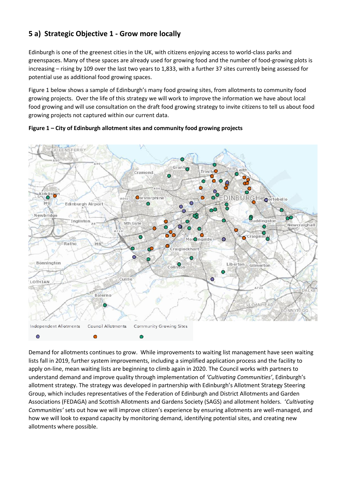# **5 a) Strategic Objective 1 - Grow more locally**

Edinburgh is one of the greenest cities in the UK, with citizens enjoying access to world-class parks and greenspaces. Many of these spaces are already used for growing food and the number of food-growing plots is increasing – rising by 109 over the last two years to 1,833, with a further 37 sites currently being assessed for potential use as additional food growing spaces.

Figure 1 below shows a sample of Edinburgh's many food growing sites, from allotments to community food growing projects. Over the life of this strategy we will work to improve the information we have about local food growing and will use consultation on the draft food growing strategy to invite citizens to tell us about food growing projects not captured within our current data.



**Figure 1 – City of Edinburgh allotment sites and community food growing projects**

Demand for allotments continues to grow. While improvements to waiting list management have seen waiting lists fall in 2019, further system improvements, including a simplified application process and the facility to apply on-line, mean waiting lists are beginning to climb again in 2020. The Council works with partners to understand demand and improve quality through implementation of *'Cultivating Communities'*, Edinburgh's allotment strategy. The strategy was developed in partnership with Edinburgh's Allotment Strategy Steering Group, which includes representatives of the Federation of Edinburgh and District Allotments and Garden Associations (FEDAGA) and Scottish Allotments and Gardens Society (SAGS) and allotment holders. '*Cultivating Communities'* sets out how we will improve citizen's experience by ensuring allotments are well-managed, and how we will look to expand capacity by monitoring demand, identifying potential sites, and creating new allotments where possible.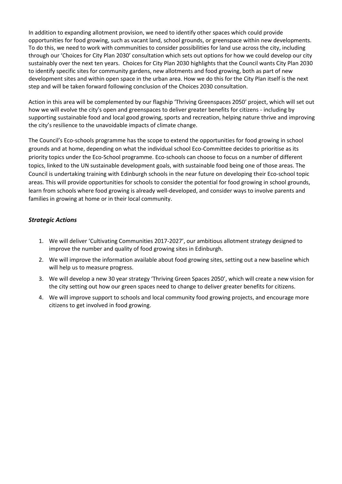In addition to expanding allotment provision, we need to identify other spaces which could provide opportunities for food growing, such as vacant land, school grounds, or greenspace within new developments. To do this, we need to work with communities to consider possibilities for land use across the city, including through our 'Choices for City Plan 2030' consultation which sets out options for how we could develop our city sustainably over the next ten years. Choices for City Plan 2030 highlights that the Council wants City Plan 2030 to identify specific sites for community gardens, new allotments and food growing, both as part of new development sites and within open space in the urban area. How we do this for the City Plan itself is the next step and will be taken forward following conclusion of the Choices 2030 consultation.

Action in this area will be complemented by our flagship 'Thriving Greenspaces 2050' project, which will set out how we will evolve the city's open and greenspaces to deliver greater benefits for citizens - including by supporting sustainable food and local good growing, sports and recreation, helping nature thrive and improving the city's resilience to the unavoidable impacts of climate change.

The Council's Eco-schools programme has the scope to extend the opportunities for food growing in school grounds and at home, depending on what the individual school Eco-Committee decides to prioritise as its priority topics under the Eco-School programme. Eco-schools can choose to focus on a number of different topics, linked to the UN sustainable development goals, with sustainable food being one of those areas. The Council is undertaking training with Edinburgh schools in the near future on developing their Eco-school topic areas. This will provide opportunities for schools to consider the potential for food growing in school grounds, learn from schools where food growing is already well-developed, and consider ways to involve parents and families in growing at home or in their local community.

#### *Strategic Actions*

- 1. We will deliver 'Cultivating Communities 2017-2027', our ambitious allotment strategy designed to improve the number and quality of food growing sites in Edinburgh.
- 2. We will improve the information available about food growing sites, setting out a new baseline which will help us to measure progress.
- 3. We will develop a new 30 year strategy 'Thriving Green Spaces 2050', which will create a new vision for the city setting out how our green spaces need to change to deliver greater benefits for citizens.
- 4. We will improve support to schools and local community food growing projects, and encourage more citizens to get involved in food growing.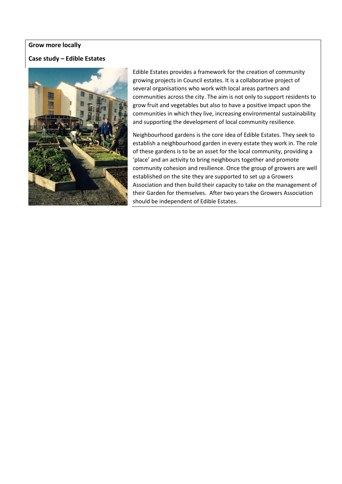#### **Grow more locally**

#### **Case study – Edible Estates**



Edible Estates provides a framework for the creation of community growing projects in Council estates. It is a collaborative project of several organisations who work with local areas partners and communities across the city. The aim is not only to support residents to grow fruit and vegetables but also to have a positive impact upon the communities in which they live, increasing environmental sustainability and supporting the development of local community resilience.

Neighbourhood gardens is the core idea of Edible Estates. They seek to establish a neighbourhood garden in every estate they work in. The role of these gardens is to be an asset for the local community, providing a 'place' and an activity to bring neighbours together and promote community cohesion and resilience. Once the group of growers are well established on the site they are supported to set up a Growers Association and then build their capacity to take on the management of their Garden for themselves. After two years the Growers Association should be independent of Edible Estates.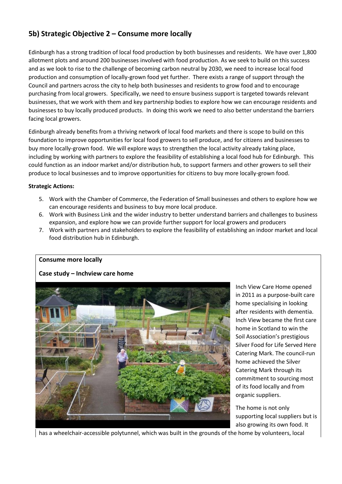#### **5b) Strategic Objective 2 – Consume more locally**

Edinburgh has a strong tradition of local food production by both businesses and residents. We have over 1,800 allotment plots and around 200 businesses involved with food production. As we seek to build on this success and as we look to rise to the challenge of becoming carbon neutral by 2030, we need to increase local food production and consumption of locally-grown food yet further. There exists a range of support through the Council and partners across the city to help both businesses and residents to grow food and to encourage purchasing from local growers. Specifically, we need to ensure business support is targeted towards relevant businesses, that we work with them and key partnership bodies to explore how we can encourage residents and businesses to buy locally produced products. In doing this work we need to also better understand the barriers facing local growers.

Edinburgh already benefits from a thriving network of local food markets and there is scope to build on this foundation to improve opportunities for local food growers to sell produce, and for citizens and businesses to buy more locally-grown food. We will explore ways to strengthen the local activity already taking place, including by working with partners to explore the feasibility of establishing a local food hub for Edinburgh. This could function as an indoor market and/or distribution hub, to support farmers and other growers to sell their produce to local businesses and to improve opportunities for citizens to buy more locally-grown food.

#### **Strategic Actions:**

- 5. Work with the Chamber of Commerce, the Federation of Small businesses and others to explore how we can encourage residents and business to buy more local produce.
- 6. Work with Business Link and the wider industry to better understand barriers and challenges to business expansion, and explore how we can provide further support for local growers and producers
- 7. Work with partners and stakeholders to explore the feasibility of establishing an indoor market and local food distribution hub in Edinburgh.

#### **Consume more locally**

#### **Case study – Inchview care home**



Inch View Care Home opened in 2011 as a purpose-built care home specialising in looking after residents with dementia. Inch View became the first care home in Scotland to win the Soil Association's prestigious Silver Food for Life Served Here Catering Mark. The council-run home achieved the Silver Catering Mark through its commitment to sourcing most of its food locally and from organic suppliers.

The home is not only supporting local suppliers but is also growing its own food. It

has a wheelchair-accessible polytunnel, which was built in the grounds of the home by volunteers, local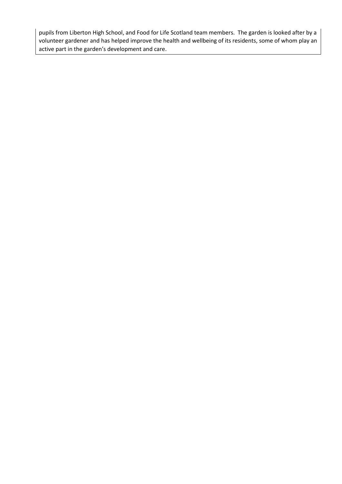pupils from Liberton High School, and Food for Life Scotland team members. The garden is looked after by a volunteer gardener and has helped improve the health and wellbeing of its residents, some of whom play an active part in the garden's development and care.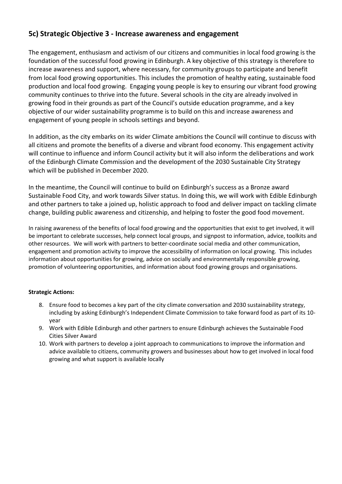#### **5c) Strategic Objective 3 - Increase awareness and engagement**

The engagement, enthusiasm and activism of our citizens and communities in local food growing is the foundation of the successful food growing in Edinburgh. A key objective of this strategy is therefore to increase awareness and support, where necessary, for community groups to participate and benefit from local food growing opportunities. This includes the promotion of healthy eating, sustainable food production and local food growing. Engaging young people is key to ensuring our vibrant food growing community continues to thrive into the future. Several schools in the city are already involved in growing food in their grounds as part of the Council's outside education programme, and a key objective of our wider sustainability programme is to build on this and increase awareness and engagement of young people in schools settings and beyond.

In addition, as the city embarks on its wider Climate ambitions the Council will continue to discuss with all citizens and promote the benefits of a diverse and vibrant food economy. This engagement activity will continue to influence and inform Council activity but it will also inform the deliberations and work of the Edinburgh Climate Commission and the development of the 2030 Sustainable City Strategy which will be published in December 2020.

In the meantime, the Council will continue to build on Edinburgh's success as a Bronze award Sustainable Food City, and work towards Silver status. In doing this, we will work with Edible Edinburgh and other partners to take a joined up, holistic approach to food and deliver impact on tackling climate change, building public awareness and citizenship, and helping to foster the good food movement.

In raising awareness of the benefits of local food growing and the opportunities that exist to get involved, it will be important to celebrate successes, help connect local groups, and signpost to information, advice, toolkits and other resources. We will work with partners to better-coordinate social media and other communication, engagement and promotion activity to improve the accessibility of information on local growing. This includes information about opportunities for growing, advice on socially and environmentally responsible growing, promotion of volunteering opportunities, and information about food growing groups and organisations.

#### **Strategic Actions:**

- 8. Ensure food to becomes a key part of the city climate conversation and 2030 sustainability strategy, including by asking Edinburgh's Independent Climate Commission to take forward food as part of its 10 year
- 9. Work with Edible Edinburgh and other partners to ensure Edinburgh achieves the Sustainable Food Cities Silver Award
- 10. Work with partners to develop a joint approach to communications to improve the information and advice available to citizens, community growers and businesses about how to get involved in local food growing and what support is available locally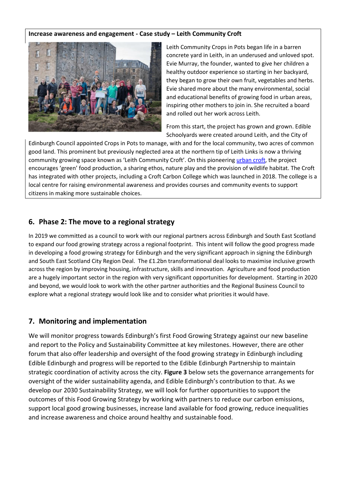#### **Increase awareness and engagement - Case study – Leith Community Croft**



Leith Community Crops in Pots began life in a barren concrete yard in Leith, in an underused and unloved spot. Evie Murray, the founder, wanted to give her children a healthy outdoor experience so starting in her backyard, they began to grow their own fruit, vegetables and herbs. Evie shared more about the many environmental, social and educational benefits of growing food in urban areas, inspiring other mothers to join in. She recruited a board and rolled out her work across Leith.

From this start, the project has grown and grown. Edible Schoolyards were created around Leith, and the City of

Edinburgh Council appointed Crops in Pots to manage, with and for the local community, two acres of common good land. This prominent but previously neglected area at the northern tip of Leith Links is now a thriving community growing space known as 'Leith Community Croft'. On this pioneering [urban croft,](http://leith-community-crops-in-pots.org/our-initiatives/urban-crofts/) the project encourages 'green' food production, a sharing ethos, nature play and the provision of wildlife habitat. The Croft has integrated with other projects, including a Croft Carbon College which was launched in 2018. The college is a local centre for raising environmental awareness and provides courses and community events to support citizens in making more sustainable choices.

#### **6. Phase 2: The move to a regional strategy**

In 2019 we committed as a council to work with our regional partners across Edinburgh and South East Scotland to expand our food growing strategy across a regional footprint. This intent will follow the good progress made in developing a food growing strategy for Edinburgh and the very significant approach in signing the Edinburgh and South East Scotland City Region Deal. The £1.2bn transformational deal looks to maximise inclusive growth across the region by improving housing, infrastructure, skills and innovation. Agriculture and food production are a hugely important sector in the region with very significant opportunities for development. Starting in 2020 and beyond, we would look to work with the other partner authorities and the Regional Business Council to explore what a regional strategy would look like and to consider what priorities it would have.

#### **7. Monitoring and implementation**

We will monitor progress towards Edinburgh's first Food Growing Strategy against our new baseline and report to the Policy and Sustainability Committee at key milestones. However, there are other forum that also offer leadership and oversight of the food growing strategy in Edinburgh including Edible Edinburgh and progress will be reported to the Edible Edinburgh Partnership to maintain strategic coordination of activity across the city. **Figure 3** below sets the governance arrangements for oversight of the wider sustainability agenda, and Edible Edinburgh's contribution to that. As we develop our 2030 Sustainability Strategy, we will look for further opportunities to support the outcomes of this Food Growing Strategy by working with partners to reduce our carbon emissions, support local good growing businesses, increase land available for food growing, reduce inequalities and increase awareness and choice around healthy and sustainable food.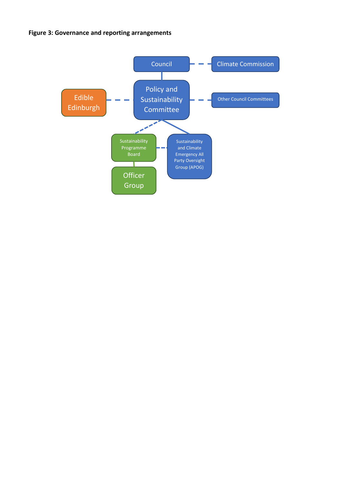**Figure 3: Governance and reporting arrangements**